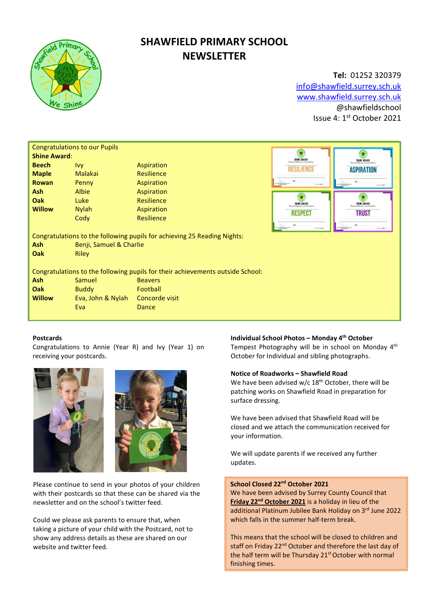

# SHAWFIELD PRIMARY SCHOOL **NEWSLETTER**

Tel: 01252 320379 info@shawfield.surrey.sch.uk www.shawfield.surrey.sch.uk @shawfieldschool Issue 4: 1st October 2021

| <b>Congratulations to our Pupils</b>                                           |                         |                                                |                                                                 |                                                |  |  |  |  |
|--------------------------------------------------------------------------------|-------------------------|------------------------------------------------|-----------------------------------------------------------------|------------------------------------------------|--|--|--|--|
| <b>Shine Award:</b>                                                            |                         | SHINE AWARD<br>This certificate is awarded to: | SHINE AWARD                                                     |                                                |  |  |  |  |
| <b>Beech</b>                                                                   | <b>Ivy</b>              | Aspiration                                     | <b>ESILIENCI</b>                                                | This certificate is awarded to                 |  |  |  |  |
| <b>Maple</b>                                                                   | Malakai                 | <b>Resilience</b>                              |                                                                 | <b>ASPIRATION</b>                              |  |  |  |  |
| <b>Rowan</b>                                                                   | Penny                   | Aspiration                                     | Historyche<br>Case Senhor                                       | Historyscher<br>Cay Serbs                      |  |  |  |  |
| <b>Ash</b>                                                                     | Albie                   | Aspiration                                     |                                                                 |                                                |  |  |  |  |
| <b>Oak</b>                                                                     | Luke                    | Resilience                                     | SHINE AWARD<br>This certificate is awarded to<br><b>RESPECT</b> | SHINE AWARD                                    |  |  |  |  |
| <b>Willow</b>                                                                  | <b>Nylah</b>            | Aspiration                                     |                                                                 | This certificate is awarded to<br><b>TRUST</b> |  |  |  |  |
|                                                                                | Cody                    | <b>Resilience</b>                              |                                                                 |                                                |  |  |  |  |
|                                                                                |                         |                                                | Form<br>National<br>Case Seaths                                 | Case Seaths                                    |  |  |  |  |
| Congratulations to the following pupils for achieving 25 Reading Nights:       |                         |                                                |                                                                 |                                                |  |  |  |  |
| <b>Ash</b>                                                                     | Benji, Samuel & Charlie |                                                |                                                                 |                                                |  |  |  |  |
| Oak                                                                            | <b>Riley</b>            |                                                |                                                                 |                                                |  |  |  |  |
|                                                                                |                         |                                                |                                                                 |                                                |  |  |  |  |
| Congratulations to the following pupils for their achievements outside School: |                         |                                                |                                                                 |                                                |  |  |  |  |
| <b>Ash</b>                                                                     | Samuel                  | <b>Beavers</b>                                 |                                                                 |                                                |  |  |  |  |
| Oak                                                                            | <b>Buddy</b>            | Football                                       |                                                                 |                                                |  |  |  |  |
| <b>Willow</b>                                                                  | Eva, John & Nylah       | Concorde visit                                 |                                                                 |                                                |  |  |  |  |
|                                                                                | Eva                     | Dance                                          |                                                                 |                                                |  |  |  |  |
|                                                                                |                         |                                                |                                                                 |                                                |  |  |  |  |

#### Postcards

Congratulations to Annie (Year R) and Ivy (Year 1) on receiving your postcards.





Please continue to send in your photos of your children with their postcards so that these can be shared via the newsletter and on the school's twitter feed.

Could we please ask parents to ensure that, when taking a picture of your child with the Postcard, not to show any address details as these are shared on our website and twitter feed.

## Individual School Photos – Monday 4th October

Tempest Photography will be in school on Monday 4th October for Individual and sibling photographs.

#### Notice of Roadworks – Shawfield Road

We have been advised w/c 18<sup>th</sup> October, there will be patching works on Shawfield Road in preparation for surface dressing.

We have been advised that Shawfield Road will be closed and we attach the communication received for your information.

We will update parents if we received any further updates.

# School Closed 22<sup>nd</sup> October 2021

We have been advised by Surrey County Council that Friday 22<sup>nd</sup> October 2021 is a holiday in lieu of the additional Platinum Jubilee Bank Holiday on 3rd June 2022 which falls in the summer half-term break.

This means that the school will be closed to children and staff on Friday 22<sup>nd</sup> October and therefore the last day of the half term will be Thursday 21<sup>st</sup> October with normal finishing times.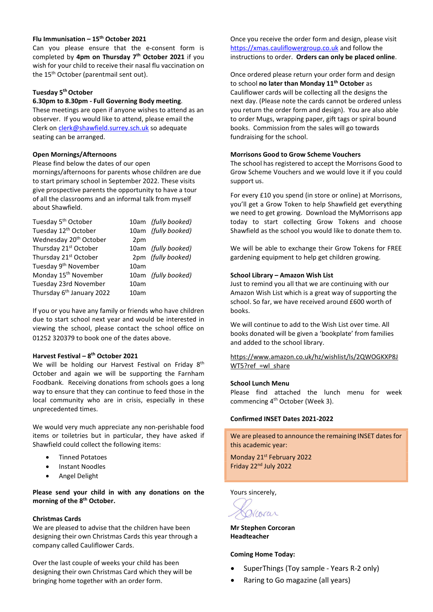## Flu Immunisation –  $15<sup>th</sup>$  October 2021

Can you please ensure that the e-consent form is completed by 4pm on Thursday 7<sup>th</sup> October 2021 if you wish for your child to receive their nasal flu vaccination on the 15<sup>th</sup> October (parentmail sent out).

# Tuesday 5<sup>th</sup> October

## 6.30pm to 8.30pm - Full Governing Body meeting.

These meetings are open if anyone wishes to attend as an observer. If you would like to attend, please email the Clerk on clerk@shawfield.surrey.sch.uk so adequate seating can be arranged.

#### Open Mornings/Afternoons

Please find below the dates of our open mornings/afternoons for parents whose children are due to start primary school in September 2022. These visits give prospective parents the opportunity to have a tour of all the classrooms and an informal talk from myself about Shawfield.

| Tuesday 5 <sup>th</sup> October       |      | 10am (fully booked) |
|---------------------------------------|------|---------------------|
| Tuesday 12 <sup>th</sup> October      |      | 10am (fully booked) |
| Wednesday 20 <sup>th</sup> October    | 2pm  |                     |
| Thursday 21 <sup>st</sup> October     |      | 10am (fully booked) |
| Thursday 21 <sup>st</sup> October     |      | 2pm (fully booked)  |
| Tuesday 9 <sup>th</sup> November      | 10am |                     |
| Monday 15 <sup>th</sup> November      |      | 10am (fully booked) |
| Tuesday 23rd November                 | 10am |                     |
| Thursday 6 <sup>th</sup> January 2022 | 10am |                     |

If you or you have any family or friends who have children due to start school next year and would be interested in viewing the school, please contact the school office on 01252 320379 to book one of the dates above.

#### Harvest Festival – 8th October 2021

We will be holding our Harvest Festival on Friday 8<sup>th</sup> October and again we will be supporting the Farnham Foodbank. Receiving donations from schools goes a long way to ensure that they can continue to feed those in the local community who are in crisis, especially in these unprecedented times.

We would very much appreciate any non-perishable food items or toiletries but in particular, they have asked if Shawfield could collect the following items:

- Tinned Potatoes
- Instant Noodles
- Angel Delight

Please send your child in with any donations on the morning of the 8<sup>th</sup> October.

#### Christmas Cards

We are pleased to advise that the children have been designing their own Christmas Cards this year through a company called Cauliflower Cards.

Over the last couple of weeks your child has been designing their own Christmas Card which they will be bringing home together with an order form.

Once you receive the order form and design, please visit https://xmas.cauliflowergroup.co.uk and follow the instructions to order. Orders can only be placed online.

Once ordered please return your order form and design to school no later than Monday 11<sup>th</sup> October as Cauliflower cards will be collecting all the designs the next day. (Please note the cards cannot be ordered unless you return the order form and design). You are also able to order Mugs, wrapping paper, gift tags or spiral bound books. Commission from the sales will go towards fundraising for the school.

#### Morrisons Good to Grow Scheme Vouchers

The school has registered to accept the Morrisons Good to Grow Scheme Vouchers and we would love it if you could support us.

For every £10 you spend (in store or online) at Morrisons, you'll get a Grow Token to help Shawfield get everything we need to get growing. Download the MyMorrisons app today to start collecting Grow Tokens and choose Shawfield as the school you would like to donate them to.

We will be able to exchange their Grow Tokens for FREE gardening equipment to help get children growing.

#### School Library – Amazon Wish List

Just to remind you all that we are continuing with our Amazon Wish List which is a great way of supporting the school. So far, we have received around £600 worth of books.

We will continue to add to the Wish List over time. All books donated will be given a 'bookplate' from families and added to the school library.

https://www.amazon.co.uk/hz/wishlist/ls/2QWOGKXP8J WT5?ref =wl\_share

#### School Lunch Menu

Please find attached the lunch menu for week commencing 4th October (Week 3).

### Confirmed INSET Dates 2021-2022

We are pleased to announce the remaining INSET dates for this academic year:

Monday 21<sup>st</sup> February 2022 Friday 22nd July 2022

Yours sincerely,

Woran

Mr Stephen Corcoran Headteacher

#### Coming Home Today:

- SuperThings (Toy sample Years R-2 only)
- Raring to Go magazine (all years)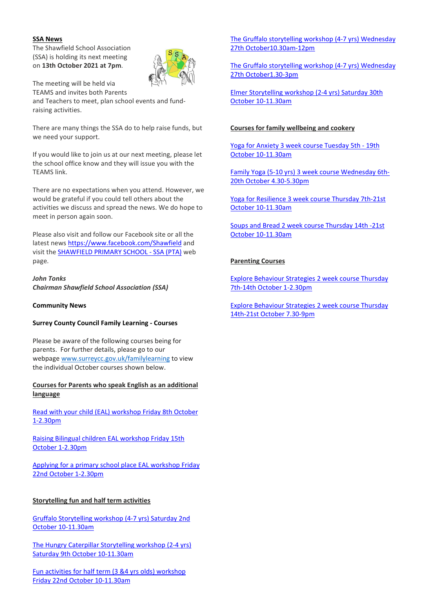## SSA News

The Shawfield School Association (SSA) is holding its next meeting on 13th October 2021 at 7pm.



The meeting will be held via TEAMS and invites both Parents and Teachers to meet, plan school events and fundraising activities.

There are many things the SSA do to help raise funds, but we need your support.

If you would like to join us at our next meeting, please let the school office know and they will issue you with the TEAMS link.

There are no expectations when you attend. However, we would be grateful if you could tell others about the activities we discuss and spread the news. We do hope to meet in person again soon.

Please also visit and follow our Facebook site or all the latest news https://www.facebook.com/Shawfield and visit the SHAWFIELD PRIMARY SCHOOL - SSA (PTA) web page.

John Tonks Chairman Shawfield School Association (SSA)

Community News

## Surrey County Council Family Learning - Courses

Please be aware of the following courses being for parents. For further details, please go to our webpage www.surreycc.gov.uk/familylearning to view the individual October courses shown below.

## Courses for Parents who speak English as an additional language

Read with your child (EAL) workshop Friday 8th October 1-2.30pm

Raising Bilingual children EAL workshop Friday 15th October 1-2.30pm

Applying for a primary school place EAL workshop Friday 22nd October 1-2.30pm

# Storytelling fun and half term activities

Gruffalo Storytelling workshop (4-7 yrs) Saturday 2nd October 10-11.30am

The Hungry Caterpillar Storytelling workshop (2-4 yrs) Saturday 9th October 10-11.30am

Fun activities for half term (3 &4 yrs olds) workshop Friday 22nd October 10-11.30am

The Gruffalo storytelling workshop (4-7 yrs) Wednesday 27th October10.30am-12pm

The Gruffalo storytelling workshop (4-7 yrs) Wednesday 27th October1.30-3pm

Elmer Storytelling workshop (2-4 yrs) Saturday 30th October 10-11.30am

## Courses for family wellbeing and cookery

Yoga for Anxiety 3 week course Tuesday 5th - 19th October 10-11.30am

Family Yoga (5-10 yrs) 3 week course Wednesday 6th-20th October 4.30-5.30pm

Yoga for Resilience 3 week course Thursday 7th-21st October 10-11.30am

Soups and Bread 2 week course Thursday 14th -21st October 10-11.30am

## Parenting Courses

Explore Behaviour Strategies 2 week course Thursday 7th-14th October 1-2.30pm

Explore Behaviour Strategies 2 week course Thursday 14th-21st October 7.30-9pm